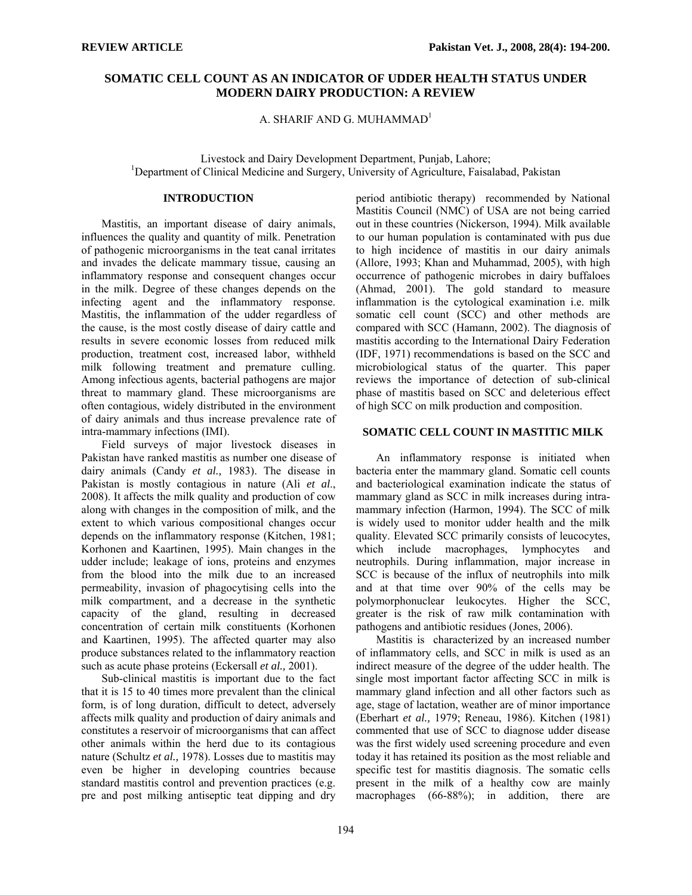# **SOMATIC CELL COUNT AS AN INDICATOR OF UDDER HEALTH STATUS UNDER MODERN DAIRY PRODUCTION: A REVIEW**

A. SHARIF AND G. MUHAMMAD<sup>1</sup>

Livestock and Dairy Development Department, Punjab, Lahore; 1 <sup>1</sup>Department of Clinical Medicine and Surgery, University of Agriculture, Faisalabad, Pakistan

## **INTRODUCTION**

Mastitis, an important disease of dairy animals, influences the quality and quantity of milk. Penetration of pathogenic microorganisms in the teat canal irritates and invades the delicate mammary tissue, causing an inflammatory response and consequent changes occur in the milk. Degree of these changes depends on the infecting agent and the inflammatory response. Mastitis, the inflammation of the udder regardless of the cause, is the most costly disease of dairy cattle and results in severe economic losses from reduced milk production, treatment cost, increased labor, withheld milk following treatment and premature culling. Among infectious agents, bacterial pathogens are major threat to mammary gland. These microorganisms are often contagious, widely distributed in the environment of dairy animals and thus increase prevalence rate of intra-mammary infections (IMI).

Field surveys of major livestock diseases in Pakistan have ranked mastitis as number one disease of dairy animals (Candy *et al.,* 1983). The disease in Pakistan is mostly contagious in nature (Ali *et al*., 2008). It affects the milk quality and production of cow along with changes in the composition of milk, and the extent to which various compositional changes occur depends on the inflammatory response (Kitchen, 1981; Korhonen and Kaartinen, 1995). Main changes in the udder include; leakage of ions, proteins and enzymes from the blood into the milk due to an increased permeability, invasion of phagocytising cells into the milk compartment, and a decrease in the synthetic capacity of the gland, resulting in decreased concentration of certain milk constituents (Korhonen and Kaartinen, 1995). The affected quarter may also produce substances related to the inflammatory reaction such as acute phase proteins (Eckersall *et al.,* 2001).

Sub-clinical mastitis is important due to the fact that it is 15 to 40 times more prevalent than the clinical form, is of long duration, difficult to detect, adversely affects milk quality and production of dairy animals and constitutes a reservoir of microorganisms that can affect other animals within the herd due to its contagious nature (Schultz *et al.,* 1978). Losses due to mastitis may even be higher in developing countries because standard mastitis control and prevention practices (e.g. pre and post milking antiseptic teat dipping and dry

period antibiotic therapy) recommended by National Mastitis Council (NMC) of USA are not being carried out in these countries (Nickerson, 1994). Milk available to our human population is contaminated with pus due to high incidence of mastitis in our dairy animals (Allore, 1993; Khan and Muhammad, 2005), with high occurrence of pathogenic microbes in dairy buffaloes (Ahmad, 2001). The gold standard to measure inflammation is the cytological examination i.e. milk somatic cell count (SCC) and other methods are compared with SCC (Hamann, 2002). The diagnosis of mastitis according to the International Dairy Federation (IDF, 1971) recommendations is based on the SCC and microbiological status of the quarter. This paper reviews the importance of detection of sub-clinical phase of mastitis based on SCC and deleterious effect of high SCC on milk production and composition.

# **SOMATIC CELL COUNT IN MASTITIC MILK**

An inflammatory response is initiated when bacteria enter the mammary gland. Somatic cell counts and bacteriological examination indicate the status of mammary gland as SCC in milk increases during intramammary infection (Harmon, 1994). The SCC of milk is widely used to monitor udder health and the milk quality. Elevated SCC primarily consists of leucocytes, which include macrophages, lymphocytes and neutrophils. During inflammation, major increase in SCC is because of the influx of neutrophils into milk and at that time over 90% of the cells may be polymorphonuclear leukocytes. Higher the SCC, greater is the risk of raw milk contamination with pathogens and antibiotic residues (Jones, 2006).

Mastitis is characterized by an increased number of inflammatory cells, and SCC in milk is used as an indirect measure of the degree of the udder health. The single most important factor affecting SCC in milk is mammary gland infection and all other factors such as age, stage of lactation, weather are of minor importance (Eberhart *et al.,* 1979; Reneau, 1986). Kitchen (1981) commented that use of SCC to diagnose udder disease was the first widely used screening procedure and even today it has retained its position as the most reliable and specific test for mastitis diagnosis. The somatic cells present in the milk of a healthy cow are mainly macrophages (66-88%); in addition, there are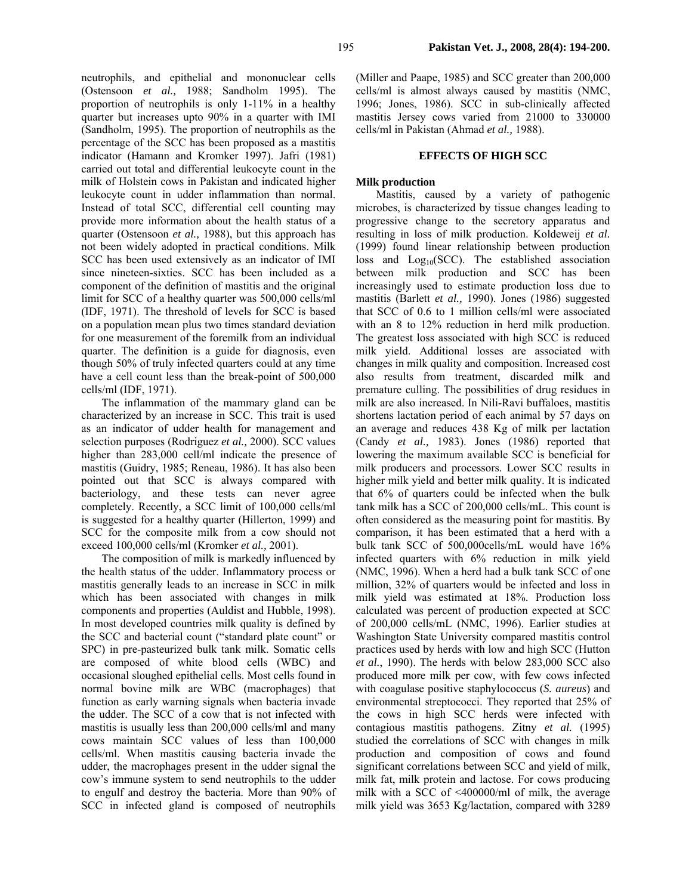neutrophils, and epithelial and mononuclear cells (Ostensoon *et al.,* 1988; Sandholm 1995). The proportion of neutrophils is only 1-11% in a healthy quarter but increases upto 90% in a quarter with IMI (Sandholm, 1995). The proportion of neutrophils as the percentage of the SCC has been proposed as a mastitis indicator (Hamann and Kromker 1997). Jafri (1981) carried out total and differential leukocyte count in the milk of Holstein cows in Pakistan and indicated higher leukocyte count in udder inflammation than normal. Instead of total SCC, differential cell counting may provide more information about the health status of a quarter (Ostensoon *et al.,* 1988), but this approach has not been widely adopted in practical conditions. Milk SCC has been used extensively as an indicator of IMI since nineteen-sixties. SCC has been included as a component of the definition of mastitis and the original limit for SCC of a healthy quarter was 500,000 cells/ml (IDF, 1971). The threshold of levels for SCC is based on a population mean plus two times standard deviation for one measurement of the foremilk from an individual quarter. The definition is a guide for diagnosis, even though 50% of truly infected quarters could at any time have a cell count less than the break-point of 500,000 cells/ml (IDF, 1971).

The inflammation of the mammary gland can be characterized by an increase in SCC. This trait is used as an indicator of udder health for management and selection purposes (Rodriguez *et al.,* 2000). SCC values higher than 283,000 cell/ml indicate the presence of mastitis (Guidry, 1985; Reneau, 1986). It has also been pointed out that SCC is always compared with bacteriology, and these tests can never agree completely. Recently, a SCC limit of 100,000 cells/ml is suggested for a healthy quarter (Hillerton, 1999) and SCC for the composite milk from a cow should not exceed 100,000 cells/ml (Kromker *et al.,* 2001).

The composition of milk is markedly influenced by the health status of the udder. Inflammatory process or mastitis generally leads to an increase in SCC in milk which has been associated with changes in milk components and properties (Auldist and Hubble, 1998). In most developed countries milk quality is defined by the SCC and bacterial count ("standard plate count" or SPC) in pre-pasteurized bulk tank milk. Somatic cells are composed of white blood cells (WBC) and occasional sloughed epithelial cells. Most cells found in normal bovine milk are WBC (macrophages) that function as early warning signals when bacteria invade the udder. The SCC of a cow that is not infected with mastitis is usually less than 200,000 cells/ml and many cows maintain SCC values of less than 100,000 cells/ml. When mastitis causing bacteria invade the udder, the macrophages present in the udder signal the cow's immune system to send neutrophils to the udder to engulf and destroy the bacteria. More than 90% of SCC in infected gland is composed of neutrophils

(Miller and Paape, 1985) and SCC greater than 200,000 cells/ml is almost always caused by mastitis (NMC, 1996; Jones, 1986). SCC in sub-clinically affected mastitis Jersey cows varied from 21000 to 330000 cells/ml in Pakistan (Ahmad *et al.,* 1988).

# **EFFECTS OF HIGH SCC**

### **Milk production**

Mastitis, caused by a variety of pathogenic microbes, is characterized by tissue changes leading to progressive change to the secretory apparatus and resulting in loss of milk production. Koldeweij *et al.*  (1999) found linear relationship between production loss and  $Log<sub>10</sub>(SCC)$ . The established association between milk production and SCC has been increasingly used to estimate production loss due to mastitis (Barlett *et al.,* 1990). Jones (1986) suggested that SCC of 0.6 to 1 million cells/ml were associated with an 8 to 12% reduction in herd milk production. The greatest loss associated with high SCC is reduced milk yield. Additional losses are associated with changes in milk quality and composition. Increased cost also results from treatment, discarded milk and premature culling. The possibilities of drug residues in milk are also increased. In Nili-Ravi buffaloes, mastitis shortens lactation period of each animal by 57 days on an average and reduces 438 Kg of milk per lactation (Candy *et al.,* 1983). Jones (1986) reported that lowering the maximum available SCC is beneficial for milk producers and processors. Lower SCC results in higher milk yield and better milk quality. It is indicated that 6% of quarters could be infected when the bulk tank milk has a SCC of 200,000 cells/mL. This count is often considered as the measuring point for mastitis. By comparison, it has been estimated that a herd with a bulk tank SCC of 500,000cells/mL would have 16% infected quarters with 6% reduction in milk yield (NMC, 1996). When a herd had a bulk tank SCC of one million, 32% of quarters would be infected and loss in milk yield was estimated at 18%. Production loss calculated was percent of production expected at SCC of 200,000 cells/mL (NMC, 1996). Earlier studies at Washington State University compared mastitis control practices used by herds with low and high SCC (Hutton *et al.*, 1990). The herds with below 283,000 SCC also produced more milk per cow, with few cows infected with coagulase positive staphylococcus (*S. aureus*) and environmental streptococci. They reported that 25% of the cows in high SCC herds were infected with contagious mastitis pathogens. Zitny *et al.* (1995) studied the correlations of SCC with changes in milk production and composition of cows and found significant correlations between SCC and yield of milk, milk fat, milk protein and lactose. For cows producing milk with a SCC of <400000/ml of milk, the average milk yield was 3653 Kg/lactation, compared with 3289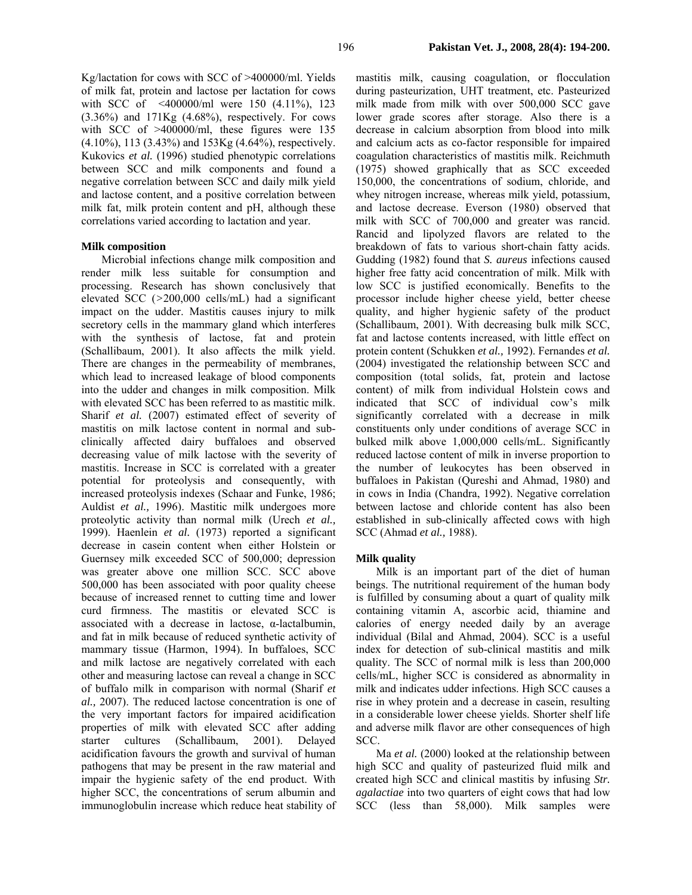Kg/lactation for cows with SCC of >400000/ml. Yields of milk fat, protein and lactose per lactation for cows with SCC of <400000/ml were 150 (4.11%), 123  $(3.36\%)$  and  $171Kg$   $(4.68\%)$ , respectively. For cows with SCC of >400000/ml, these figures were 135 (4.10%), 113 (3.43%) and 153Kg (4.64%), respectively. Kukovics *et al.* (1996) studied phenotypic correlations between SCC and milk components and found a negative correlation between SCC and daily milk yield and lactose content, and a positive correlation between milk fat, milk protein content and pH, although these correlations varied according to lactation and year.

### **Milk composition**

Microbial infections change milk composition and render milk less suitable for consumption and processing. Research has shown conclusively that elevated SCC (*>*200,000 cells/mL) had a significant impact on the udder. Mastitis causes injury to milk secretory cells in the mammary gland which interferes with the synthesis of lactose, fat and protein (Schallibaum, 2001). It also affects the milk yield. There are changes in the permeability of membranes, which lead to increased leakage of blood components into the udder and changes in milk composition. Milk with elevated SCC has been referred to as mastitic milk. Sharif *et al.* (2007) estimated effect of severity of mastitis on milk lactose content in normal and subclinically affected dairy buffaloes and observed decreasing value of milk lactose with the severity of mastitis. Increase in SCC is correlated with a greater potential for proteolysis and consequently, with increased proteolysis indexes (Schaar and Funke, 1986; Auldist *et al.,* 1996). Mastitic milk undergoes more proteolytic activity than normal milk (Urech *et al.,* 1999). Haenlein *et al.* (1973) reported a significant decrease in casein content when either Holstein or Guernsey milk exceeded SCC of 500,000; depression was greater above one million SCC. SCC above 500,000 has been associated with poor quality cheese because of increased rennet to cutting time and lower curd firmness. The mastitis or elevated SCC is associated with a decrease in lactose,  $\alpha$ -lactalbumin, and fat in milk because of reduced synthetic activity of mammary tissue (Harmon, 1994). In buffaloes, SCC and milk lactose are negatively correlated with each other and measuring lactose can reveal a change in SCC of buffalo milk in comparison with normal (Sharif *et al.,* 2007). The reduced lactose concentration is one of the very important factors for impaired acidification properties of milk with elevated SCC after adding starter cultures (Schallibaum, 2001). Delayed acidification favours the growth and survival of human pathogens that may be present in the raw material and impair the hygienic safety of the end product. With higher SCC, the concentrations of serum albumin and immunoglobulin increase which reduce heat stability of mastitis milk, causing coagulation, or flocculation during pasteurization, UHT treatment, etc. Pasteurized milk made from milk with over 500,000 SCC gave lower grade scores after storage. Also there is a decrease in calcium absorption from blood into milk and calcium acts as co-factor responsible for impaired coagulation characteristics of mastitis milk. Reichmuth (1975) showed graphically that as SCC exceeded 150,000, the concentrations of sodium, chloride, and whey nitrogen increase, whereas milk yield, potassium, and lactose decrease. Everson (1980) observed that milk with SCC of 700,000 and greater was rancid. Rancid and lipolyzed flavors are related to the breakdown of fats to various short-chain fatty acids. Gudding (1982) found that *S. aureus* infections caused higher free fatty acid concentration of milk. Milk with low SCC is justified economically. Benefits to the processor include higher cheese yield, better cheese quality, and higher hygienic safety of the product (Schallibaum, 2001). With decreasing bulk milk SCC, fat and lactose contents increased, with little effect on protein content (Schukken *et al.,* 1992). Fernandes *et al.* (2004) investigated the relationship between SCC and composition (total solids, fat, protein and lactose content) of milk from individual Holstein cows and indicated that SCC of individual cow's milk significantly correlated with a decrease in milk constituents only under conditions of average SCC in bulked milk above 1,000,000 cells/mL. Significantly reduced lactose content of milk in inverse proportion to the number of leukocytes has been observed in buffaloes in Pakistan (Qureshi and Ahmad, 1980) and in cows in India (Chandra, 1992). Negative correlation between lactose and chloride content has also been established in sub-clinically affected cows with high SCC (Ahmad *et al.,* 1988).

### **Milk quality**

Milk is an important part of the diet of human beings. The nutritional requirement of the human body is fulfilled by consuming about a quart of quality milk containing vitamin A, ascorbic acid, thiamine and calories of energy needed daily by an average individual (Bilal and Ahmad, 2004). SCC is a useful index for detection of sub-clinical mastitis and milk quality. The SCC of normal milk is less than 200,000 cells/mL, higher SCC is considered as abnormality in milk and indicates udder infections. High SCC causes a rise in whey protein and a decrease in casein, resulting in a considerable lower cheese yields. Shorter shelf life and adverse milk flavor are other consequences of high SCC.

Ma *et al.* (2000) looked at the relationship between high SCC and quality of pasteurized fluid milk and created high SCC and clinical mastitis by infusing *Str. agalactiae* into two quarters of eight cows that had low SCC (less than 58,000). Milk samples were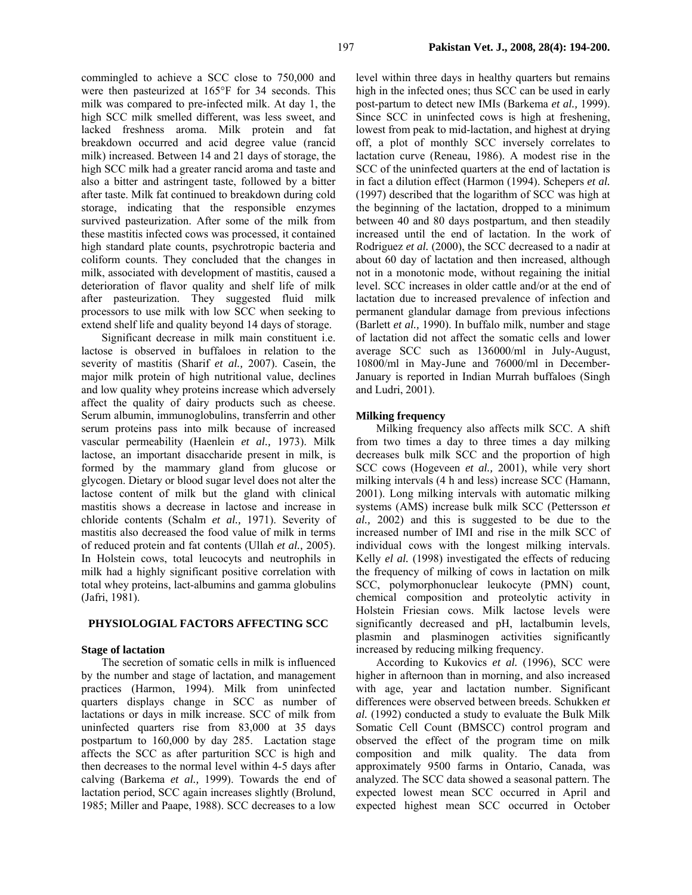commingled to achieve a SCC close to 750,000 and were then pasteurized at 165°F for 34 seconds. This milk was compared to pre-infected milk. At day 1, the high SCC milk smelled different, was less sweet, and lacked freshness aroma. Milk protein and fat breakdown occurred and acid degree value (rancid milk) increased. Between 14 and 21 days of storage, the high SCC milk had a greater rancid aroma and taste and also a bitter and astringent taste, followed by a bitter after taste. Milk fat continued to breakdown during cold storage, indicating that the responsible enzymes survived pasteurization. After some of the milk from these mastitis infected cows was processed, it contained high standard plate counts, psychrotropic bacteria and coliform counts. They concluded that the changes in milk, associated with development of mastitis, caused a deterioration of flavor quality and shelf life of milk after pasteurization. They suggested fluid milk processors to use milk with low SCC when seeking to extend shelf life and quality beyond 14 days of storage.

Significant decrease in milk main constituent i.e. lactose is observed in buffaloes in relation to the severity of mastitis (Sharif *et al.,* 2007). Casein, the major milk protein of high nutritional value, declines and low quality whey proteins increase which adversely affect the quality of dairy products such as cheese. Serum albumin, immunoglobulins, transferrin and other serum proteins pass into milk because of increased vascular permeability (Haenlein *et al.,* 1973). Milk lactose, an important disaccharide present in milk, is formed by the mammary gland from glucose or glycogen. Dietary or blood sugar level does not alter the lactose content of milk but the gland with clinical mastitis shows a decrease in lactose and increase in chloride contents (Schalm *et al.,* 1971). Severity of mastitis also decreased the food value of milk in terms of reduced protein and fat contents (Ullah *et al.,* 2005). In Holstein cows, total leucocyts and neutrophils in milk had a highly significant positive correlation with total whey proteins, lact-albumins and gamma globulins (Jafri, 1981).

#### **PHYSIOLOGIAL FACTORS AFFECTING SCC**

### **Stage of lactation**

The secretion of somatic cells in milk is influenced by the number and stage of lactation, and management practices (Harmon, 1994). Milk from uninfected quarters displays change in SCC as number of lactations or days in milk increase. SCC of milk from uninfected quarters rise from 83,000 at 35 days postpartum to 160,000 by day 285. Lactation stage affects the SCC as after parturition SCC is high and then decreases to the normal level within 4-5 days after calving (Barkema *et al.,* 1999). Towards the end of lactation period, SCC again increases slightly (Brolund, 1985; Miller and Paape, 1988). SCC decreases to a low

level within three days in healthy quarters but remains high in the infected ones; thus SCC can be used in early post-partum to detect new IMIs (Barkema *et al.,* 1999). Since SCC in uninfected cows is high at freshening, lowest from peak to mid-lactation, and highest at drying off, a plot of monthly SCC inversely correlates to lactation curve (Reneau, 1986). A modest rise in the SCC of the uninfected quarters at the end of lactation is in fact a dilution effect (Harmon (1994). Schepers *et al.* (1997) described that the logarithm of SCC was high at the beginning of the lactation, dropped to a minimum between 40 and 80 days postpartum, and then steadily increased until the end of lactation. In the work of Rodriguez *et al.* (2000), the SCC decreased to a nadir at about 60 day of lactation and then increased, although not in a monotonic mode, without regaining the initial level. SCC increases in older cattle and/or at the end of lactation due to increased prevalence of infection and permanent glandular damage from previous infections (Barlett *et al.,* 1990). In buffalo milk, number and stage of lactation did not affect the somatic cells and lower average SCC such as 136000/ml in July-August, 10800/ml in May-June and 76000/ml in December-January is reported in Indian Murrah buffaloes (Singh and Ludri, 2001).

## **Milking frequency**

Milking frequency also affects milk SCC. A shift from two times a day to three times a day milking decreases bulk milk SCC and the proportion of high SCC cows (Hogeveen *et al.,* 2001), while very short milking intervals (4 h and less) increase SCC (Hamann, 2001). Long milking intervals with automatic milking systems (AMS) increase bulk milk SCC (Pettersson *et al.,* 2002) and this is suggested to be due to the increased number of IMI and rise in the milk SCC of individual cows with the longest milking intervals. Kelly *el al.* (1998) investigated the effects of reducing the frequency of milking of cows in lactation on milk SCC, polymorphonuclear leukocyte (PMN) count, chemical composition and proteolytic activity in Holstein Friesian cows. Milk lactose levels were significantly decreased and pH, lactalbumin levels, plasmin and plasminogen activities significantly increased by reducing milking frequency.

According to Kukovics *et al.* (1996), SCC were higher in afternoon than in morning, and also increased with age, year and lactation number. Significant differences were observed between breeds. Schukken *et al.* (1992) conducted a study to evaluate the Bulk Milk Somatic Cell Count (BMSCC) control program and observed the effect of the program time on milk composition and milk quality. The data from approximately 9500 farms in Ontario, Canada, was analyzed. The SCC data showed a seasonal pattern. The expected lowest mean SCC occurred in April and expected highest mean SCC occurred in October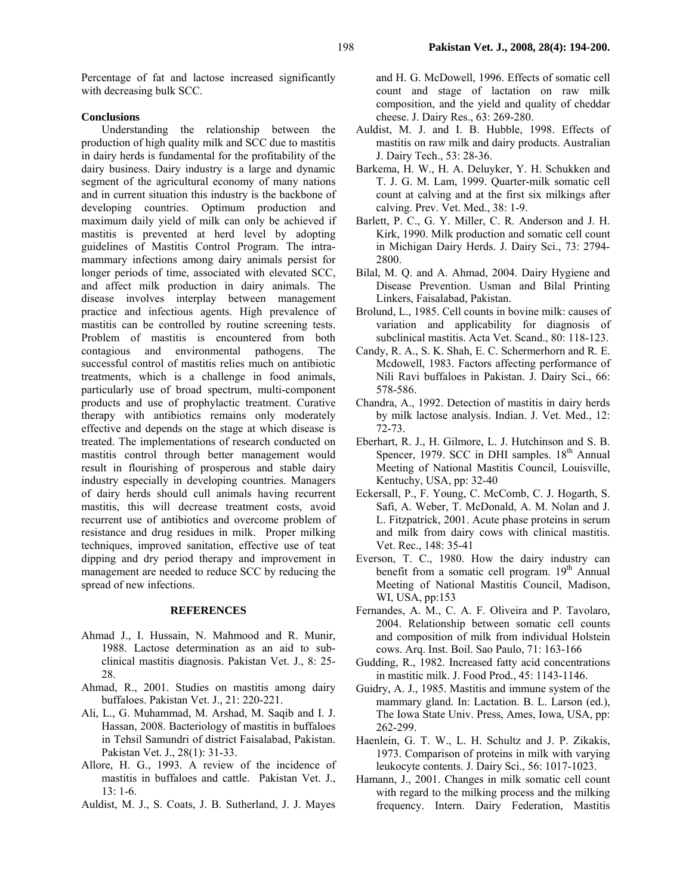Percentage of fat and lactose increased significantly with decreasing bulk SCC.

# **Conclusions**

Understanding the relationship between the production of high quality milk and SCC due to mastitis in dairy herds is fundamental for the profitability of the dairy business. Dairy industry is a large and dynamic segment of the agricultural economy of many nations and in current situation this industry is the backbone of developing countries. Optimum production and maximum daily yield of milk can only be achieved if mastitis is prevented at herd level by adopting guidelines of Mastitis Control Program. The intramammary infections among dairy animals persist for longer periods of time, associated with elevated SCC, and affect milk production in dairy animals. The disease involves interplay between management practice and infectious agents. High prevalence of mastitis can be controlled by routine screening tests. Problem of mastitis is encountered from both contagious and environmental pathogens. The successful control of mastitis relies much on antibiotic treatments, which is a challenge in food animals, particularly use of broad spectrum, multi-component products and use of prophylactic treatment. Curative therapy with antibiotics remains only moderately effective and depends on the stage at which disease is treated. The implementations of research conducted on mastitis control through better management would result in flourishing of prosperous and stable dairy industry especially in developing countries. Managers of dairy herds should cull animals having recurrent mastitis, this will decrease treatment costs, avoid recurrent use of antibiotics and overcome problem of resistance and drug residues in milk. Proper milking techniques, improved sanitation, effective use of teat dipping and dry period therapy and improvement in management are needed to reduce SCC by reducing the spread of new infections.

### **REFERENCES**

- Ahmad J., I. Hussain, N. Mahmood and R. Munir, 1988. Lactose determination as an aid to subclinical mastitis diagnosis. Pakistan Vet. J., 8: 25- 28.
- Ahmad, R., 2001. Studies on mastitis among dairy buffaloes. Pakistan Vet. J., 21: 220-221.
- Ali, L., G. Muhammad, M. Arshad, M. Saqib and I. J. Hassan, 2008. Bacteriology of mastitis in buffaloes in Tehsil Samundri of district Faisalabad, Pakistan. Pakistan Vet. J., 28(1): 31-33.
- Allore, H. G., 1993. A review of the incidence of mastitis in buffaloes and cattle. Pakistan Vet. J., 13: 1-6.
- Auldist, M. J., S. Coats, J. B. Sutherland, J. J. Mayes

and H. G. McDowell, 1996. Effects of somatic cell count and stage of lactation on raw milk composition, and the yield and quality of cheddar cheese. J. Dairy Res., 63: 269-280.

- Auldist, M. J. and I. B. Hubble, 1998. Effects of mastitis on raw milk and dairy products. Australian J. Dairy Tech., 53: 28-36.
- Barkema, H. W., H. A. Deluyker, Y. H. Schukken and T. J. G. M. Lam, 1999. Quarter-milk somatic cell count at calving and at the first six milkings after calving. Prev. Vet. Med., 38: 1-9.
- Barlett, P. C., G. Y. Miller, C. R. Anderson and J. H. Kirk, 1990. Milk production and somatic cell count in Michigan Dairy Herds. J. Dairy Sci., 73: 2794- 2800.
- Bilal, M. Q. and A. Ahmad, 2004. Dairy Hygiene and Disease Prevention. Usman and Bilal Printing Linkers, Faisalabad, Pakistan.
- Brolund, L., 1985. Cell counts in bovine milk: causes of variation and applicability for diagnosis of subclinical mastitis. Acta Vet. Scand., 80: 118-123.
- Candy, R. A., S. K. Shah, E. C. Schermerhorn and R. E. Mcdowell, 1983. Factors affecting performance of Nili Ravi buffaloes in Pakistan. J. Dairy Sci., 66: 578-586.
- Chandra, A., 1992. Detection of mastitis in dairy herds by milk lactose analysis. Indian. J. Vet. Med., 12: 72-73.
- Eberhart, R. J., H. Gilmore, L. J. Hutchinson and S. B. Spencer, 1979. SCC in DHI samples.  $18<sup>th</sup>$  Annual Meeting of National Mastitis Council, Louisville, Kentuchy, USA, pp: 32-40
- Eckersall, P., F. Young, C. McComb, C. J. Hogarth, S. Safi, A. Weber, T. McDonald, A. M. Nolan and J. L. Fitzpatrick, 2001. Acute phase proteins in serum and milk from dairy cows with clinical mastitis. Vet. Rec., 148: 35-41
- Everson, T. C., 1980. How the dairy industry can benefit from a somatic cell program. 19<sup>th</sup> Annual Meeting of National Mastitis Council, Madison, WI, USA, pp:153
- Fernandes, A. M., C. A. F. Oliveira and P. Tavolaro, 2004. Relationship between somatic cell counts and composition of milk from individual Holstein cows. Arq. Inst. Boil. Sao Paulo, 71: 163-166
- Gudding, R., 1982. Increased fatty acid concentrations in mastitic milk. J. Food Prod., 45: 1143-1146.
- Guidry, A. J., 1985. Mastitis and immune system of the mammary gland. In: Lactation. B. L. Larson (ed.), The Iowa State Univ. Press, Ames, Iowa, USA, pp: 262-299.
- Haenlein, G. T. W., L. H. Schultz and J. P. Zikakis, 1973. Comparison of proteins in milk with varying leukocyte contents. J. Dairy Sci., 56: 1017-1023.
- Hamann, J., 2001. Changes in milk somatic cell count with regard to the milking process and the milking frequency. Intern. Dairy Federation, Mastitis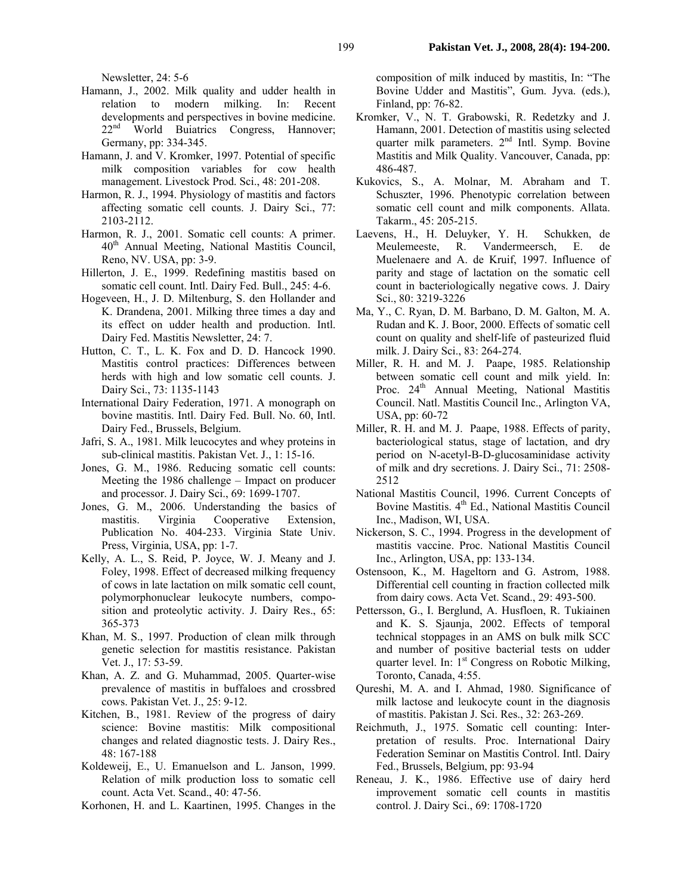Newsletter, 24: 5-6

- Hamann, J., 2002. Milk quality and udder health in relation to modern milking. In: Recent developments and perspectives in bovine medicine. 22<sup>nd</sup> World Buiatrics Congress, Hannover; Germany, pp: 334-345.
- Hamann, J. and V. Kromker, 1997. Potential of specific milk composition variables for cow health management. Livestock Prod. Sci., 48: 201-208.
- Harmon, R. J., 1994. Physiology of mastitis and factors affecting somatic cell counts. J. Dairy Sci., 77: 2103-2112.
- Harmon, R. J., 2001. Somatic cell counts: A primer. 40th Annual Meeting, National Mastitis Council, Reno, NV. USA, pp: 3-9.
- Hillerton, J. E., 1999. Redefining mastitis based on somatic cell count. Intl. Dairy Fed. Bull., 245: 4-6.
- Hogeveen, H., J. D. Miltenburg, S. den Hollander and K. Drandena, 2001. Milking three times a day and its effect on udder health and production. Intl. Dairy Fed. Mastitis Newsletter, 24: 7.
- Hutton, C. T., L. K. Fox and D. D. Hancock 1990. Mastitis control practices: Differences between herds with high and low somatic cell counts. J. Dairy Sci., 73: 1135-1143
- International Dairy Federation, 1971. A monograph on bovine mastitis. Intl. Dairy Fed. Bull. No. 60, Intl. Dairy Fed., Brussels, Belgium.
- Jafri, S. A., 1981. Milk leucocytes and whey proteins in sub-clinical mastitis. Pakistan Vet. J., 1: 15-16.
- Jones, G. M., 1986. Reducing somatic cell counts: Meeting the 1986 challenge – Impact on producer and processor. J. Dairy Sci., 69: 1699-1707.
- Jones, G. M., 2006. Understanding the basics of mastitis. Virginia Cooperative Extension, Publication No. 404-233. Virginia State Univ. Press, Virginia, USA, pp: 1-7.
- Kelly, A. L., S. Reid, P. Joyce, W. J. Meany and J. Foley, 1998. Effect of decreased milking frequency of cows in late lactation on milk somatic cell count, polymorphonuclear leukocyte numbers, composition and proteolytic activity. J. Dairy Res., 65: 365-373
- Khan, M. S., 1997. Production of clean milk through genetic selection for mastitis resistance. Pakistan Vet. J., 17: 53-59.
- Khan, A. Z. and G. Muhammad, 2005. Quarter-wise prevalence of mastitis in buffaloes and crossbred cows. Pakistan Vet. J., 25: 9-12.
- Kitchen, B., 1981. Review of the progress of dairy science: Bovine mastitis: Milk compositional changes and related diagnostic tests. J. Dairy Res., 48: 167-188
- Koldeweij, E., U. Emanuelson and L. Janson, 1999. Relation of milk production loss to somatic cell count. Acta Vet. Scand., 40: 47-56.
- Korhonen, H. and L. Kaartinen, 1995. Changes in the

composition of milk induced by mastitis, In: "The Bovine Udder and Mastitis", Gum. Jyva. (eds.), Finland, pp: 76-82.

- Kromker, V., N. T. Grabowski, R. Redetzky and J. Hamann, 2001. Detection of mastitis using selected quarter milk parameters. 2<sup>nd</sup> Intl. Symp. Bovine Mastitis and Milk Quality. Vancouver, Canada, pp: 486-487.
- Kukovics, S., A. Molnar, M. Abraham and T. Schuszter, 1996. Phenotypic correlation between somatic cell count and milk components. Allata. Takarm., 45: 205-215.
- Laevens, H., H. Deluyker, Y. H. Schukken, de Meulemeeste, R. Vandermeersch, E. de Muelenaere and A. de Kruif, 1997. Influence of parity and stage of lactation on the somatic cell count in bacteriologically negative cows. J. Dairy Sci., 80: 3219-3226
- Ma, Y., C. Ryan, D. M. Barbano, D. M. Galton, M. A. Rudan and K. J. Boor, 2000. Effects of somatic cell count on quality and shelf-life of pasteurized fluid milk. J. Dairy Sci., 83: 264-274.
- Miller, R. H. and M. J. Paape, 1985. Relationship between somatic cell count and milk yield. In: Proc. 24<sup>th</sup> Annual Meeting, National Mastitis Council. Natl. Mastitis Council Inc., Arlington VA, USA, pp: 60-72
- Miller, R. H. and M. J. Paape, 1988. Effects of parity, bacteriological status, stage of lactation, and dry period on N-acetyl-B-D-glucosaminidase activity of milk and dry secretions. J. Dairy Sci., 71: 2508- 2512
- National Mastitis Council, 1996. Current Concepts of Bovine Mastitis. 4<sup>th</sup> Ed., National Mastitis Council Inc., Madison, WI, USA.
- Nickerson, S. C., 1994. Progress in the development of mastitis vaccine. Proc. National Mastitis Council Inc., Arlington, USA, pp: 133-134.
- Ostensoon, K., M. Hageltorn and G. Astrom, 1988. Differential cell counting in fraction collected milk from dairy cows. Acta Vet. Scand., 29: 493-500.
- Pettersson, G., I. Berglund, A. Husfloen, R. Tukiainen and K. S. Sjaunja, 2002. Effects of temporal technical stoppages in an AMS on bulk milk SCC and number of positive bacterial tests on udder quarter level. In:  $1<sup>st</sup>$  Congress on Robotic Milking, Toronto, Canada, 4:55.
- Qureshi, M. A. and I. Ahmad, 1980. Significance of milk lactose and leukocyte count in the diagnosis of mastitis. Pakistan J. Sci. Res., 32: 263-269.
- Reichmuth, J., 1975. Somatic cell counting: Interpretation of results. Proc. International Dairy Federation Seminar on Mastitis Control. Intl. Dairy Fed., Brussels, Belgium, pp: 93-94
- Reneau, J. K., 1986. Effective use of dairy herd improvement somatic cell counts in mastitis control. J. Dairy Sci., 69: 1708-1720